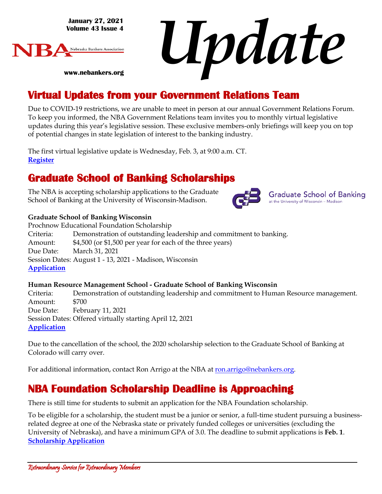**January 27, 2021 Volume 43 Issue 4**

**www.nebankers.org**



*Update*

# **Virtual Updates from your Government Relations Team**

Due to COVID-19 restrictions, we are unable to meet in person at our annual Government Relations Forum. To keep you informed, the NBA Government Relations team invites you to monthly virtual legislative updates during this year's legislative session. These exclusive members-only briefings will keep you on top of potential changes in state legislation of interest to the banking industry.

The first virtual legislative update is Wednesday, Feb. 3, at 9:00 a.m. CT. **[Register](https://us02web.zoom.us/j/84333727213?pwd=SEpCa3F6OWh2N3kzaFlmRVFmYXBCUT09)**

## **Graduate School of Banking Scholarships**

The NBA is accepting scholarship applications to the Graduate School of Banking at the University of Wisconsin-Madison.



Prochnow Educational Foundation Scholarship Criteria: Demonstration of outstanding leadership and commitment to banking. Amount: \$4,500 (or \$1,500 per year for each of the three years) Due Date: March 31, 2021 Session Dates: August 1 - 13, 2021 - Madison, Wisconsin **[Application](http://r20.rs6.net/tn.jsp?f=001iQVPDDSNotjSn5IC6jYJ-P9JBdWtVZJ3f8VH7VwmC8BQjILVYKgVhjXQruj2bdB2VRnFu6BP9KfBErRDvlrVDnGXQzE7jhHZ_d5ZMoipBZFbiU__GJ5SN8ZklDNUoTjxxmsw3niJG6GxPB9IG0MxaShNuz7rOwKaqrjaIiTdjdHFW9-DI3JRn_cInNYa8zi9B4NZXSXoAer1wzL_wVgrlv8X-KruZlFQpbIRjpf9eGxB_XtAKkcaOTPGWd2BJNsE682HG4xARg1uigmOo-vqsWYXIozUUFX7eYjttlv40CI=&c=FgetKj3xRDa3NWihb_G1s1eF0EhiaSXtkRxzTvJ2GiwQQO6kKItaiQ==&ch=YsDXWAjZbAdpZ9TTIuxWtjC1OLsQwz1SBU_zl7r-xP2h7DVod_EJyg==)**

### **Human Resource Management School - Graduate School of Banking Wisconsin**

Criteria: Demonstration of outstanding leadership and commitment to Human Resource management. Amount: \$700 Due Date: February 11, 2021 Session Dates: Offered virtually starting April 12, 2021 **[Application](http://r20.rs6.net/tn.jsp?f=001iQVPDDSNotjSn5IC6jYJ-P9JBdWtVZJ3f8VH7VwmC8BQjILVYKgVhjXQruj2bdB2slVY8-f4RDGGrmyqtSBCsOQDqt-1ZjlQCHC14WEurD2Bq_y6D8WSUzJty2nh_-ubZ7GEr9D-pTgXdNsuKob6zXvc2zMX8_Q56oeeWdzV2w78DSbpu3-8wf7Z3kmvhxcdiLBmiCKHue1ronOj5vv6ZXvJhcScT3oXN3k-o0mFaiyHGTJmJE7fHXL7bzPmUTlEhpX7SG2fsfnB3y6koEc13ZaBFFLxbTyyVJ-DfmNXMRo=&c=FgetKj3xRDa3NWihb_G1s1eF0EhiaSXtkRxzTvJ2GiwQQO6kKItaiQ==&ch=YsDXWAjZbAdpZ9TTIuxWtjC1OLsQwz1SBU_zl7r-xP2h7DVod_EJyg==)**

Due to the cancellation of the school, the 2020 scholarship selection to the Graduate School of Banking at Colorado will carry over.

For additional information, contact Ron Arrigo at the NBA at [ron.arrigo@nebankers.org.](mailto:ron.arrigo@nebankers.org)

## **NBA Foundation Scholarship Deadline is Approaching**

There is still time for students to submit an application for the NBA Foundation scholarship.

To be eligible for a scholarship, the student must be a junior or senior, a full-time student pursuing a businessrelated degree at one of the Nebraska state or privately funded colleges or universities (excluding the University of Nebraska), and have a minimum GPA of 3.0. The deadline to submit applications is **Feb. 1**. **[Scholarship Application](https://www.nebankers.org/foundation-scholarship-app.html)**



**Graduate School of Banking** at the University of Wisconsin - Madison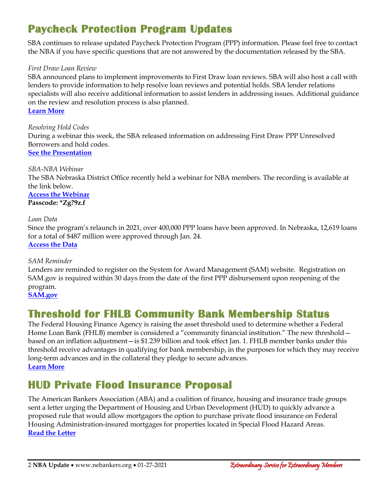# **Paycheck Protection Program Updates**

SBA continues to release updated Paycheck Protection Program (PPP) information. Please feel free to contact the NBA if you have specific questions that are not answered by the documentation released by the SBA.

### *First Draw Loan Review*

SBA announced plans to implement improvements to First Draw loan reviews. SBA will also host a call with lenders to provide information to help resolve loan reviews and potential holds. SBA lender relations specialists will also receive additional information to assist lenders in addressing issues. Additional guidance on the review and resolution process is also planned. **[Learn More](https://www.sba.gov/article/2021/jan/26/sba-takes-steps-improve-first-draw-paycheck-protection-program-loan-review)**

*Resolving Hold Codes* During a webinar this week, the SBA released information on addressing First Draw PPP Unresolved Borrowers and hold codes. **[See the Presentation](https://www.nebankers.org/uploads/8/1/6/4/81640974/slide_deck_platform_procedures_for_resolving_hold_codes.pdf)**

*SBA-NBA Webinar* The SBA Nebraska District Office recently held a webinar for NBA members. The recording is available at the link below.

**[Access the Webinar](https://us02web.zoom.us/rec/share/PX3YHDLJJTGN8UYz3DLDSmJQo2MH_7tFQjr623MmYgOkqVicVfwpnGKeqYv4QTDG.m4tqsM5c9Z_2LTbH) Passcode: \*Zg?9z.f**

*Loan Data* Since the program's relaunch in 2021, over 400,000 PPP loans have been approved. In Nebraska, 12,619 loans for a total of \$487 million were approved through Jan. 24. **[Access the](https://www.sba.gov/sites/default/files/2021-01/PPP_Report_2021_01_24-508.pdf) Data**

*SAM Reminder* Lenders are reminded to register on the System for Award Management (SAM) website. Registration on SAM.gov is required within 30 days from the date of the first PPP disbursement upon reopening of the program. **[SAM.gov](https://sam.gov/SAM/)**

## **Threshold for FHLB Community Bank Membership Status**

The Federal Housing Finance Agency is raising the asset threshold used to determine whether a Federal Home Loan Bank (FHLB) member is considered a "community financial institution." The new threshold based on an inflation adjustment—is \$1.239 billion and took effect Jan. 1. FHLB member banks under this threshold receive advantages in qualifying for bank membership, in the purposes for which they may receive long-term advances and in the collateral they pledge to secure advances. **[Learn More](https://www.fhfa.gov/SupervisionRegulation/Rules/Pages/Annual-Adjustment-of-the-Cap-on-Average-Total-Assets-That-Defines-Community-Financial-Institutions.aspx)**

## **HUD Private Flood Insurance Proposal**

The American Bankers Association (ABA) and a coalition of finance, housing and insurance trade groups sent a letter urging the Department of Housing and Urban Development (HUD) to quickly advance a proposed rule that would allow mortgagors the option to purchase private flood insurance on Federal Housing Administration-insured mortgages for properties located in Special Flood Hazard Areas. **[Read the Letter](https://www.aba.com/advocacy/policy-analysis/letter-on-private-flood-insurance-for-fha-mortgages)**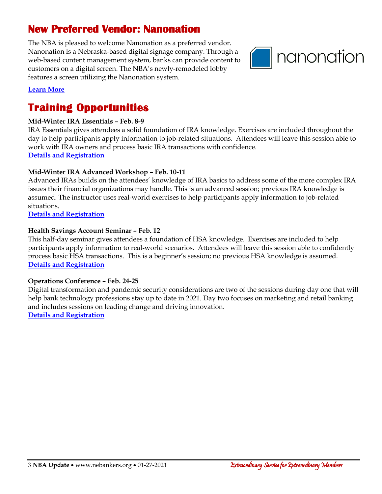# **New Preferred Vendor: Nanonation**

The NBA is pleased to welcome Nanonation as a preferred vendor. Nanonation is a Nebraska-based digital signage company. Through a web-based content management system, banks can provide content to customers on a digital screen. The NBA's newly-remodeled lobby features a screen utilizing the Nanonation system.



### **[Learn More](https://www.nebankers.org/uploads/8/1/6/4/81640974/nanonationdigitalsignagepartnership.pdf)**

## **Training Opportunities**

### **Mid-Winter IRA Essentials – Feb. 8-9**

IRA Essentials gives attendees a solid foundation of IRA knowledge. Exercises are included throughout the day to help participants apply information to job-related situations. Attendees will leave this session able to work with IRA owners and process basic IRA transactions with confidence. **[Details and Registration](https://nebraskabankersneassoc.wliinc21.com/events/2021MidWinter%20IRA%20Essentials%20Virtual%20Workshop-11570/details)**

### **Mid-Winter IRA Advanced Workshop – Feb. 10-11**

Advanced IRAs builds on the attendees' knowledge of IRA basics to address some of the more complex IRA issues their financial organizations may handle. This is an advanced session; previous IRA knowledge is assumed. The instructor uses real‐world exercises to help participants apply information to job‐related situations.

**[Details and Registration](https://nebraskabankersneassoc.wliinc21.com/events/2021MidWinter%20IRA%20Advanced%20Virtual%20Workshop-11571/details)**

### **Health Savings Account Seminar – Feb. 12**

This half‐day seminar gives attendees a foundation of HSA knowledge. Exercises are included to help participants apply information to real‐world scenarios. Attendees will leave this session able to confidently process basic HSA transactions. This is a beginner's session; no previous HSA knowledge is assumed. **[Details and Registration](https://nebraskabankersneassoc.wliinc21.com/events/2021Health%20Savings%20Account%20Virtual%20Seminar%20-11659/details)**

### **Operations Conference – Feb. 24-25**

Digital transformation and pandemic security considerations are two of the sessions during day one that will help bank technology professions stay up to date in 2021. Day two focuses on marketing and retail banking and includes sessions on leading change and driving innovation. **[Details and Registration](https://nebraskabankersneassoc.wliinc21.com/events/2021Operations%20Virtual%20Conference%20%20Technology%20Marketing%20Retail%20Banking-11520/details)**